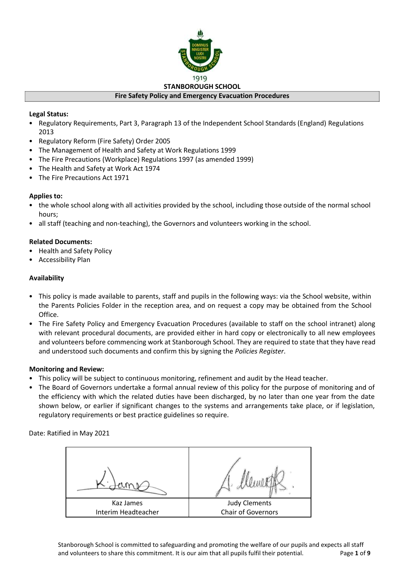

#### **Legal Status:**

- Regulatory Requirements, Part 3, Paragraph 13 of the Independent School Standards (England) Regulations 2013
- Regulatory Reform (Fire Safety) Order 2005
- The Management of Health and Safety at Work Regulations 1999
- The Fire Precautions (Workplace) Regulations 1997 (as amended 1999)
- The Health and Safety at Work Act 1974
- The Fire Precautions Act 1971

#### **Applies to:**

- the whole school along with all activities provided by the school, including those outside of the normal school hours;
- all staff (teaching and non-teaching), the Governors and volunteers working in the school.

#### **Related Documents:**

- Health and Safety Policy
- Accessibility Plan

#### **Availability**

- This policy is made available to parents, staff and pupils in the following ways: via the School website, within the Parents Policies Folder in the reception area, and on request a copy may be obtained from the School Office.
- The Fire Safety Policy and Emergency Evacuation Procedures (available to staff on the school intranet) along with relevant procedural documents, are provided either in hard copy or electronically to all new employees and volunteers before commencing work at Stanborough School. They are required to state that they have read and understood such documents and confirm this by signing the *Policies Register*.

#### **Monitoring and Review:**

- This policy will be subject to continuous monitoring, refinement and audit by the Head teacher.
- The Board of Governors undertake a formal annual review of this policy for the purpose of monitoring and of the efficiency with which the related duties have been discharged, by no later than one year from the date shown below, or earlier if significant changes to the systems and arrangements take place, or if legislation, regulatory requirements or best practice guidelines so require.

Date: Ratified in May 2021

| Kaz James           | <b>Judy Clements</b> |  |
|---------------------|----------------------|--|
| Interim Headteacher | Chair of Governors   |  |

Stanborough School is committed to safeguarding and promoting the welfare of our pupils and expects all staff and volunteers to share this commitment. It is our aim that all pupils fulfil their potential. Page **1** of **9**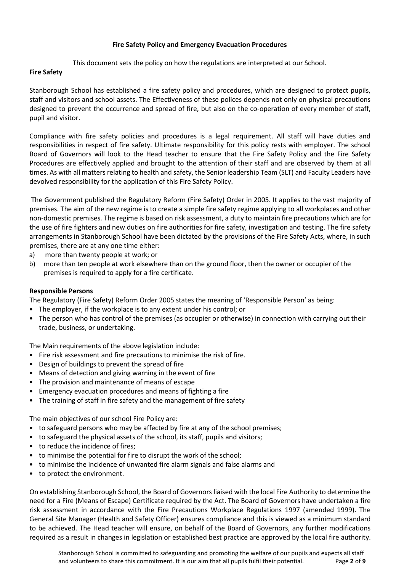#### **Fire Safety Policy and Emergency Evacuation Procedures**

This document sets the policy on how the regulations are interpreted at our School.

#### **Fire Safety**

Stanborough School has established a fire safety policy and procedures, which are designed to protect pupils, staff and visitors and school assets. The Effectiveness of these polices depends not only on physical precautions designed to prevent the occurrence and spread of fire, but also on the co-operation of every member of staff, pupil and visitor.

Compliance with fire safety policies and procedures is a legal requirement. All staff will have duties and responsibilities in respect of fire safety. Ultimate responsibility for this policy rests with employer. The school Board of Governors will look to the Head teacher to ensure that the Fire Safety Policy and the Fire Safety Procedures are effectively applied and brought to the attention of their staff and are observed by them at all times. As with all matters relating to health and safety, the Senior leadership Team (SLT) and Faculty Leaders have devolved responsibility for the application of this Fire Safety Policy.

The Government published the Regulatory Reform (Fire Safety) Order in 2005. It applies to the vast majority of premises. The aim of the new regime is to create a simple fire safety regime applying to all workplaces and other non-domestic premises. The regime is based on risk assessment, a duty to maintain fire precautions which are for the use of fire fighters and new duties on fire authorities for fire safety, investigation and testing. The fire safety arrangements in Stanborough School have been dictated by the provisions of the Fire Safety Acts, where, in such premises, there are at any one time either:

- a) more than twenty people at work; or
- b) more than ten people at work elsewhere than on the ground floor, then the owner or occupier of the premises is required to apply for a fire certificate.

## **Responsible Persons**

The Regulatory (Fire Safety) Reform Order 2005 states the meaning of 'Responsible Person' as being:

- The employer, if the workplace is to any extent under his control; or
- The person who has control of the premises (as occupier or otherwise) in connection with carrying out their trade, business, or undertaking.

The Main requirements of the above legislation include:

- Fire risk assessment and fire precautions to minimise the risk of fire.
- Design of buildings to prevent the spread of fire
- Means of detection and giving warning in the event of fire
- The provision and maintenance of means of escape
- Emergency evacuation procedures and means of fighting a fire
- The training of staff in fire safety and the management of fire safety

The main objectives of our school Fire Policy are:

- to safeguard persons who may be affected by fire at any of the school premises;
- to safeguard the physical assets of the school, its staff, pupils and visitors;
- to reduce the incidence of fires;
- to minimise the potential for fire to disrupt the work of the school;
- to minimise the incidence of unwanted fire alarm signals and false alarms and
- to protect the environment.

On establishing Stanborough School, the Board of Governors liaised with the local Fire Authority to determine the need for a Fire (Means of Escape) Certificate required by the Act. The Board of Governors have undertaken a fire risk assessment in accordance with the Fire Precautions Workplace Regulations 1997 (amended 1999). The General Site Manager (Health and Safety Officer) ensures compliance and this is viewed as a minimum standard to be achieved. The Head teacher will ensure, on behalf of the Board of Governors, any further modifications required as a result in changes in legislation or established best practice are approved by the local fire authority.

Stanborough School is committed to safeguarding and promoting the welfare of our pupils and expects all staff and volunteers to share this commitment. It is our aim that all pupils fulfil their potential. Page **2** of **9**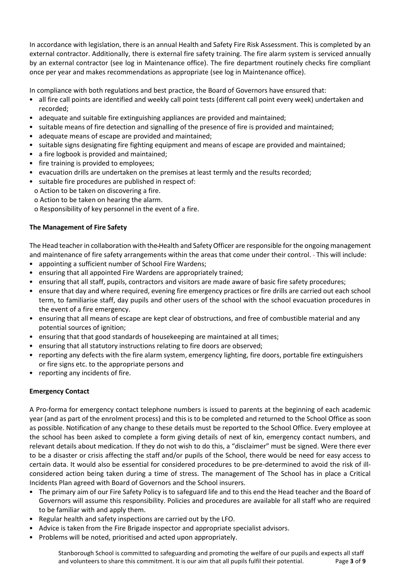In accordance with legislation, there is an annual Health and Safety Fire Risk Assessment. This is completed by an external contractor. Additionally, there is external fire safety training. The fire alarm system is serviced annually by an external contractor (see log in Maintenance office). The fire department routinely checks fire compliant once per year and makes recommendations as appropriate (see log in Maintenance office).

In compliance with both regulations and best practice, the Board of Governors have ensured that:

- all fire call points are identified and weekly call point tests (different call point every week) undertaken and recorded;
- adequate and suitable fire extinguishing appliances are provided and maintained;
- suitable means of fire detection and signalling of the presence of fire is provided and maintained;
- adequate means of escape are provided and maintained;
- suitable signs designating fire fighting equipment and means of escape are provided and maintained;
- a fire logbook is provided and maintained;
- fire training is provided to employees;
- evacuation drills are undertaken on the premises at least termly and the results recorded;
- suitable fire procedures are published in respect of:
- o Action to be taken on discovering a fire.
- o Action to be taken on hearing the alarm.

o Responsibility of key personnel in the event of a fire.

#### **The Management of Fire Safety**

The Head teacher in collaboration with the Health and Safety Officer are responsible for the ongoing management and maintenance of fire safety arrangements within the areas that come under their control. - This will include:

- appointing a sufficient number of School Fire Wardens;
- ensuring that all appointed Fire Wardens are appropriately trained;
- ensuring that all staff, pupils, contractors and visitors are made aware of basic fire safety procedures;
- ensure that day and where required, evening fire emergency practices or fire drills are carried out each school term, to familiarise staff, day pupils and other users of the school with the school evacuation procedures in the event of a fire emergency.
- ensuring that all means of escape are kept clear of obstructions, and free of combustible material and any potential sources of ignition;
- ensuring that that good standards of housekeeping are maintained at all times;
- ensuring that all statutory instructions relating to fire doors are observed;
- reporting any defects with the fire alarm system, emergency lighting, fire doors, portable fire extinguishers or fire signs etc. to the appropriate persons and
- reporting any incidents of fire.

## **Emergency Contact**

A Pro-forma for emergency contact telephone numbers is issued to parents at the beginning of each academic year (and as part of the enrolment process) and this is to be completed and returned to the School Office as soon as possible. Notification of any change to these details must be reported to the School Office. Every employee at the school has been asked to complete a form giving details of next of kin, emergency contact numbers, and relevant details about medication. If they do not wish to do this, a "disclaimer" must be signed. Were there ever to be a disaster or crisis affecting the staff and/or pupils of the School, there would be need for easy access to certain data. It would also be essential for considered procedures to be pre-determined to avoid the risk of illconsidered action being taken during a time of stress. The management of The School has in place a Critical Incidents Plan agreed with Board of Governors and the School insurers.

- The primary aim of our Fire Safety Policy is to safeguard life and to this end the Head teacher and the Board of Governors will assume this responsibility. Policies and procedures are available for all staff who are required to be familiar with and apply them.
- Regular health and safety inspections are carried out by the LFO.
- Advice is taken from the Fire Brigade inspector and appropriate specialist advisors.
- Problems will be noted, prioritised and acted upon appropriately.

Stanborough School is committed to safeguarding and promoting the welfare of our pupils and expects all staff and volunteers to share this commitment. It is our aim that all pupils fulfil their potential. Page **3** of **9**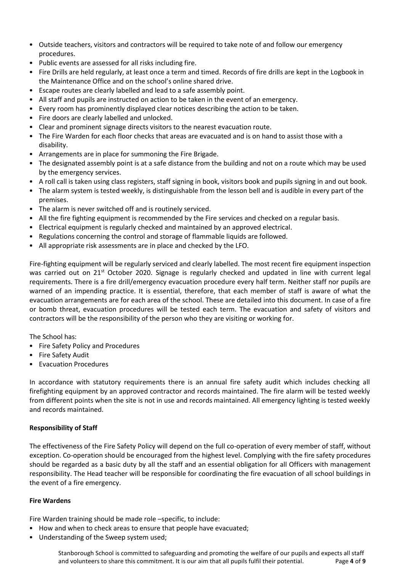- Outside teachers, visitors and contractors will be required to take note of and follow our emergency procedures.
- Public events are assessed for all risks including fire.
- Fire Drills are held regularly, at least once a term and timed. Records of fire drills are kept in the Logbook in the Maintenance Office and on the school's online shared drive.
- Escape routes are clearly labelled and lead to a safe assembly point.
- All staff and pupils are instructed on action to be taken in the event of an emergency.
- Every room has prominently displayed clear notices describing the action to be taken.
- Fire doors are clearly labelled and unlocked.
- Clear and prominent signage directs visitors to the nearest evacuation route.
- The Fire Warden for each floor checks that areas are evacuated and is on hand to assist those with a disability.
- Arrangements are in place for summoning the Fire Brigade.
- The designated assembly point is at a safe distance from the building and not on a route which may be used by the emergency services.
- A roll call is taken using class registers, staff signing in book, visitors book and pupils signing in and out book.
- The alarm system is tested weekly, is distinguishable from the lesson bell and is audible in every part of the premises.
- The alarm is never switched off and is routinely serviced.
- All the fire fighting equipment is recommended by the Fire services and checked on a regular basis.
- Electrical equipment is regularly checked and maintained by an approved electrical.
- Regulations concerning the control and storage of flammable liquids are followed.
- All appropriate risk assessments are in place and checked by the LFO.

Fire-fighting equipment will be regularly serviced and clearly labelled. The most recent fire equipment inspection was carried out on 21<sup>st</sup> October 2020. Signage is regularly checked and updated in line with current legal requirements. There is a fire drill/emergency evacuation procedure every half term. Neither staff nor pupils are warned of an impending practice. It is essential, therefore, that each member of staff is aware of what the evacuation arrangements are for each area of the school. These are detailed into this document. In case of a fire or bomb threat, evacuation procedures will be tested each term. The evacuation and safety of visitors and contractors will be the responsibility of the person who they are visiting or working for.

The School has:

- Fire Safety Policy and Procedures
- Fire Safety Audit
- Evacuation Procedures

In accordance with statutory requirements there is an annual fire safety audit which includes checking all firefighting equipment by an approved contractor and records maintained. The fire alarm will be tested weekly from different points when the site is not in use and records maintained. All emergency lighting is tested weekly and records maintained.

#### **Responsibility of Staff**

The effectiveness of the Fire Safety Policy will depend on the full co-operation of every member of staff, without exception. Co-operation should be encouraged from the highest level. Complying with the fire safety procedures should be regarded as a basic duty by all the staff and an essential obligation for all Officers with management responsibility. The Head teacher will be responsible for coordinating the fire evacuation of all school buildings in the event of a fire emergency.

#### **Fire Wardens**

Fire Warden training should be made role –specific, to include:

- How and when to check areas to ensure that people have evacuated;
- Understanding of the Sweep system used;

Stanborough School is committed to safeguarding and promoting the welfare of our pupils and expects all staff and volunteers to share this commitment. It is our aim that all pupils fulfil their potential. Page **4** of **9**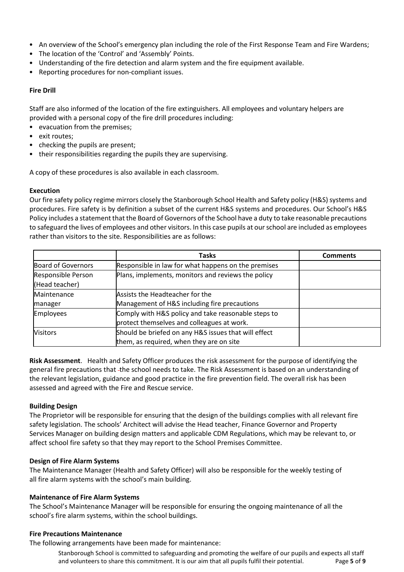- An overview of the School's emergency plan including the role of the First Response Team and Fire Wardens;
- The location of the 'Control' and 'Assembly' Points.
- Understanding of the fire detection and alarm system and the fire equipment available.
- Reporting procedures for non-compliant issues.

#### **Fire Drill**

Staff are also informed of the location of the fire extinguishers. All employees and voluntary helpers are provided with a personal copy of the fire drill procedures including:

- evacuation from the premises;
- exit routes;
- checking the pupils are present;
- their responsibilities regarding the pupils they are supervising.

A copy of these procedures is also available in each classroom.

#### **Execution**

Our fire safety policy regime mirrors closely the Stanborough School Health and Safety policy (H&S) systems and procedures. Fire safety is by definition a subset of the current H&S systems and procedures. Our School's H&S Policy includes a statement that the Board of Governors of the School have a duty to take reasonable precautions to safeguard the lives of employees and other visitors. In this case pupils at our school are included as employees rather than visitors to the site. Responsibilities are as follows:

|                           | <b>Tasks</b>                                         | <b>Comments</b> |
|---------------------------|------------------------------------------------------|-----------------|
| <b>Board of Governors</b> | Responsible in law for what happens on the premises  |                 |
| Responsible Person        | Plans, implements, monitors and reviews the policy   |                 |
| (Head teacher)            |                                                      |                 |
| Maintenance               | Assists the Headteacher for the                      |                 |
| manager                   | Management of H&S including fire precautions         |                 |
| <b>Employees</b>          | Comply with H&S policy and take reasonable steps to  |                 |
|                           | protect themselves and colleagues at work.           |                 |
| <b>Visitors</b>           | Should be briefed on any H&S issues that will effect |                 |
|                           | them, as required, when they are on site             |                 |

**Risk Assessment**. Health and Safety Officer produces the risk assessment for the purpose of identifying the general fire precautions that -the school needs to take. The Risk Assessment is based on an understanding of the relevant legislation, guidance and good practice in the fire prevention field. The overall risk has been assessed and agreed with the Fire and Rescue service.

#### **Building Design**

The Proprietor will be responsible for ensuring that the design of the buildings complies with all relevant fire safety legislation. The schools' Architect will advise the Head teacher, Finance Governor and Property Services Manager on building design matters and applicable CDM Regulations, which may be relevant to, or affect school fire safety so that they may report to the School Premises Committee.

#### **Design of Fire Alarm Systems**

The Maintenance Manager (Health and Safety Officer) will also be responsible for the weekly testing of all fire alarm systems with the school's main building.

#### **Maintenance of Fire Alarm Systems**

The School's Maintenance Manager will be responsible for ensuring the ongoing maintenance of all the school's fire alarm systems, within the school buildings.

#### **Fire Precautions Maintenance**

The following arrangements have been made for maintenance:

Stanborough School is committed to safeguarding and promoting the welfare of our pupils and expects all staff and volunteers to share this commitment. It is our aim that all pupils fulfil their potential. Page **5** of **9**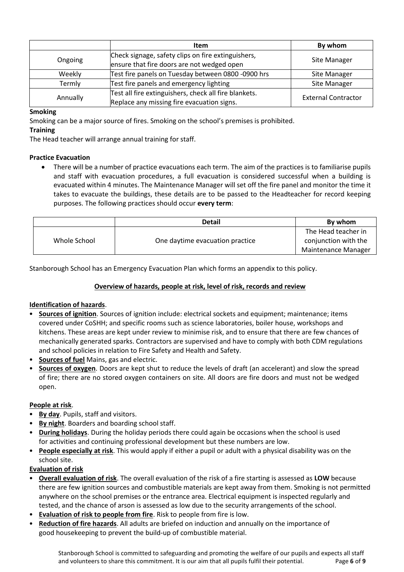|          | Item                                                                                                | By whom                    |
|----------|-----------------------------------------------------------------------------------------------------|----------------------------|
| Ongoing  | Check signage, safety clips on fire extinguishers,<br>ensure that fire doors are not wedged open    | Site Manager               |
| Weekly   | Test fire panels on Tuesday between 0800 -0900 hrs                                                  | Site Manager               |
| Termly   | Test fire panels and emergency lighting                                                             | Site Manager               |
| Annually | Test all fire extinguishers, check all fire blankets.<br>Replace any missing fire evacuation signs. | <b>External Contractor</b> |

## **Smoking**

Smoking can be a major source of fires. Smoking on the school's premises is prohibited.

## **Training**

The Head teacher will arrange annual training for staff.

# **Practice Evacuation**

 There will be a number of practice evacuations each term. The aim of the practices is to familiarise pupils and staff with evacuation procedures, a full evacuation is considered successful when a building is evacuated within 4 minutes. The Maintenance Manager will set off the fire panel and monitor the time it takes to evacuate the buildings, these details are to be passed to the Headteacher for record keeping purposes. The following practices should occur **every term**:

|              | <b>Detail</b>                   | By whom              |
|--------------|---------------------------------|----------------------|
| Whole School | One daytime evacuation practice | The Head teacher in  |
|              |                                 | conjunction with the |
|              |                                 | Maintenance Manager  |

Stanborough School has an Emergency Evacuation Plan which forms an appendix to this policy.

# **Overview of hazards, people at risk, level of risk, records and review**

# **Identification of hazards**.

- **Sources of ignition**. Sources of ignition include: electrical sockets and equipment; maintenance; items covered under CoSHH; and specific rooms such as science laboratories, boiler house, workshops and kitchens. These areas are kept under review to minimise risk, and to ensure that there are few chances of mechanically generated sparks. Contractors are supervised and have to comply with both CDM regulations and school policies in relation to Fire Safety and Health and Safety.
- **Sources of fuel** Mains, gas and electric.
- **Sources of oxygen**. Doors are kept shut to reduce the levels of draft (an accelerant) and slow the spread of fire; there are no stored oxygen containers on site. All doors are fire doors and must not be wedged open.

## **People at risk**.

- **By day**. Pupils, staff and visitors.
- **By night**. Boarders and boarding school staff.
- **During holidays**. During the holiday periods there could again be occasions when the school is used for activities and continuing professional development but these numbers are low.
- **People especially at risk**. This would apply if either a pupil or adult with a physical disability was on the school site.

## **Evaluation of risk**

- **Overall evaluation of risk**. The overall evaluation of the risk of a fire starting is assessed as **LOW** because there are few ignition sources and combustible materials are kept away from them. Smoking is not permitted anywhere on the school premises or the entrance area. Electrical equipment is inspected regularly and tested, and the chance of arson is assessed as low due to the security arrangements of the school.
- **Evaluation of risk to people from fire**. Risk to people from fire is low.
- **Reduction of fire hazards**. All adults are briefed on induction and annually on the importance of good housekeeping to prevent the build-up of combustible material.

Stanborough School is committed to safeguarding and promoting the welfare of our pupils and expects all staff and volunteers to share this commitment. It is our aim that all pupils fulfil their potential. Page **6** of **9**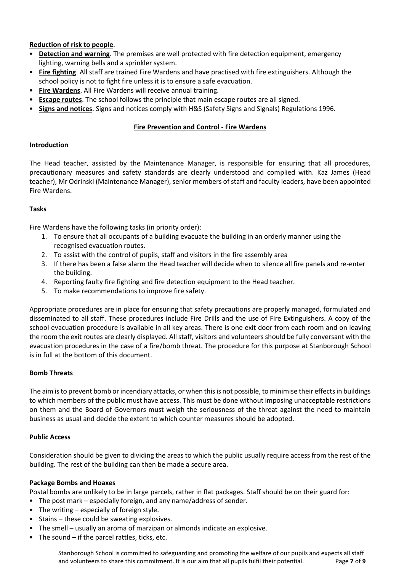## **Reduction of risk to people**.

- **Detection and warning**. The premises are well protected with fire detection equipment, emergency lighting, warning bells and a sprinkler system.
- **Fire fighting**. All staff are trained Fire Wardens and have practised with fire extinguishers. Although the school policy is not to fight fire unless it is to ensure a safe evacuation.
- **Fire Wardens**. All Fire Wardens will receive annual training.
- **Escape routes**. The school follows the principle that main escape routes are all signed.
- **Signs and notices**. Signs and notices comply with H&S (Safety Signs and Signals) Regulations 1996.

## **Fire Prevention and Control - Fire Wardens**

## **Introduction**

The Head teacher, assisted by the Maintenance Manager, is responsible for ensuring that all procedures, precautionary measures and safety standards are clearly understood and complied with. Kaz James (Head teacher), Mr Odrinski (Maintenance Manager), senior members of staff and faculty leaders, have been appointed Fire Wardens.

## **Tasks**

Fire Wardens have the following tasks (in priority order):

- 1. To ensure that all occupants of a building evacuate the building in an orderly manner using the recognised evacuation routes.
- 2. To assist with the control of pupils, staff and visitors in the fire assembly area
- 3. If there has been a false alarm the Head teacher will decide when to silence all fire panels and re-enter the building.
- 4. Reporting faulty fire fighting and fire detection equipment to the Head teacher.
- 5. To make recommendations to improve fire safety.

Appropriate procedures are in place for ensuring that safety precautions are properly managed, formulated and disseminated to all staff. These procedures include Fire Drills and the use of Fire Extinguishers. A copy of the school evacuation procedure is available in all key areas. There is one exit door from each room and on leaving the room the exit routes are clearly displayed. All staff, visitors and volunteers should be fully conversant with the evacuation procedures in the case of a fire/bomb threat. The procedure for this purpose at Stanborough School is in full at the bottom of this document.

## **Bomb Threats**

The aim is to prevent bomb or incendiary attacks, or when this is not possible, to minimise their effects in buildings to which members of the public must have access. This must be done without imposing unacceptable restrictions on them and the Board of Governors must weigh the seriousness of the threat against the need to maintain business as usual and decide the extent to which counter measures should be adopted.

## **Public Access**

Consideration should be given to dividing the areas to which the public usually require access from the rest of the building. The rest of the building can then be made a secure area.

## **Package Bombs and Hoaxes**

Postal bombs are unlikely to be in large parcels, rather in flat packages. Staff should be on their guard for:

- The post mark especially foreign, and any name/address of sender.
- The writing especially of foreign style.
- Stains these could be sweating explosives.
- The smell usually an aroma of marzipan or almonds indicate an explosive.
- The sound if the parcel rattles, ticks, etc.

Stanborough School is committed to safeguarding and promoting the welfare of our pupils and expects all staff and volunteers to share this commitment. It is our aim that all pupils fulfil their potential. Page **7** of **9**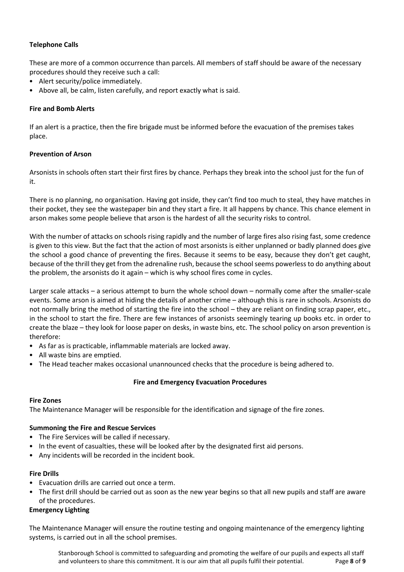## **Telephone Calls**

These are more of a common occurrence than parcels. All members of staff should be aware of the necessary procedures should they receive such a call:

- Alert security/police immediately.
- Above all, be calm, listen carefully, and report exactly what is said.

## **Fire and Bomb Alerts**

If an alert is a practice, then the fire brigade must be informed before the evacuation of the premises takes place.

## **Prevention of Arson**

Arsonists in schools often start their first fires by chance. Perhaps they break into the school just for the fun of it.

There is no planning, no organisation. Having got inside, they can't find too much to steal, they have matches in their pocket, they see the wastepaper bin and they start a fire. It all happens by chance. This chance element in arson makes some people believe that arson is the hardest of all the security risks to control.

With the number of attacks on schools rising rapidly and the number of large fires also rising fast, some credence is given to this view. But the fact that the action of most arsonists is either unplanned or badly planned does give the school a good chance of preventing the fires. Because it seems to be easy, because they don't get caught, because of the thrill they get from the adrenaline rush, because the school seems powerless to do anything about the problem, the arsonists do it again – which is why school fires come in cycles.

Larger scale attacks – a serious attempt to burn the whole school down – normally come after the smaller-scale events. Some arson is aimed at hiding the details of another crime – although this is rare in schools. Arsonists do not normally bring the method of starting the fire into the school – they are reliant on finding scrap paper, etc., in the school to start the fire. There are few instances of arsonists seemingly tearing up books etc. in order to create the blaze – they look for loose paper on desks, in waste bins, etc. The school policy on arson prevention is therefore:

- As far as is practicable, inflammable materials are locked away.
- All waste bins are emptied.
- The Head teacher makes occasional unannounced checks that the procedure is being adhered to.

## **Fire and Emergency Evacuation Procedures**

## **Fire Zones**

The Maintenance Manager will be responsible for the identification and signage of the fire zones.

## **Summoning the Fire and Rescue Services**

- The Fire Services will be called if necessary.
- In the event of casualties, these will be looked after by the designated first aid persons.
- Any incidents will be recorded in the incident book.

## **Fire Drills**

- Evacuation drills are carried out once a term.
- The first drill should be carried out as soon as the new year begins so that all new pupils and staff are aware of the procedures.

## **Emergency Lighting**

The Maintenance Manager will ensure the routine testing and ongoing maintenance of the emergency lighting systems, is carried out in all the school premises.

Stanborough School is committed to safeguarding and promoting the welfare of our pupils and expects all staff and volunteers to share this commitment. It is our aim that all pupils fulfil their potential. Page **8** of **9**